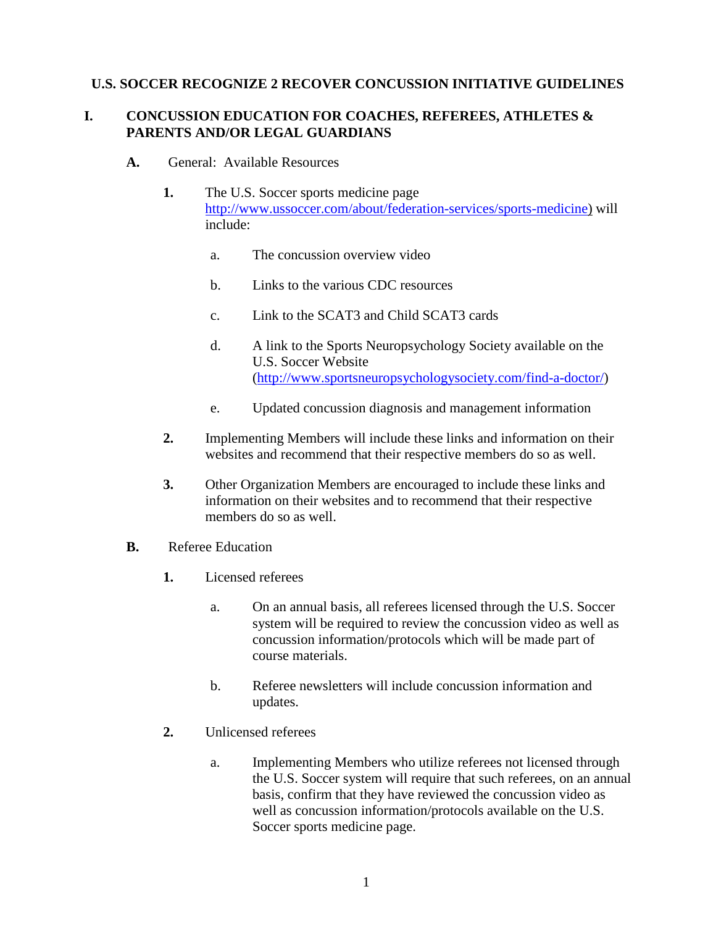### **U.S. SOCCER RECOGNIZE 2 RECOVER CONCUSSION INITIATIVE GUIDELINES**

### **I. CONCUSSION EDUCATION FOR COACHES, REFEREES, ATHLETES & PARENTS AND/OR LEGAL GUARDIANS**

- **A.** General: Available Resources
	- **1.** The U.S. Soccer sports medicine page [http://www.ussoccer.com/about/federation-services/sports-medicine\)](http://www.ussoccer.com/about/federation-services/sports-medicine) will include:
		- a. The concussion overview video
		- b. Links to the various CDC resources
		- c. Link to the SCAT3 and Child SCAT3 cards
		- d. A link to the Sports Neuropsychology Society available on the U.S. Soccer Website [\(http://www.sportsneuropsychologysociety.com/find-a-doctor/\)](http://www.sportsneuropsychologysociety.com/find-a-doctor/)
		- e. Updated concussion diagnosis and management information
	- **2.** Implementing Members will include these links and information on their websites and recommend that their respective members do so as well.
	- **3.** Other Organization Members are encouraged to include these links and information on their websites and to recommend that their respective members do so as well.
- **B.** Referee Education
	- **1.** Licensed referees
		- a. On an annual basis, all referees licensed through the U.S. Soccer system will be required to review the concussion video as well as concussion information/protocols which will be made part of course materials.
		- b. Referee newsletters will include concussion information and updates.
	- **2.** Unlicensed referees
		- a. Implementing Members who utilize referees not licensed through the U.S. Soccer system will require that such referees, on an annual basis, confirm that they have reviewed the concussion video as well as concussion information/protocols available on the U.S. Soccer sports medicine page.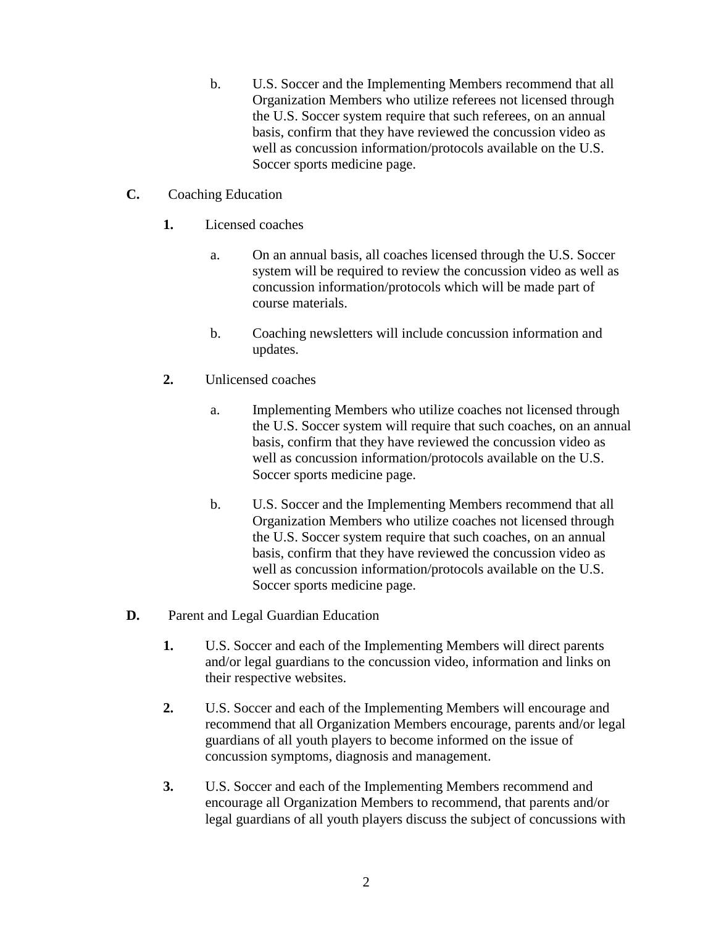- b. U.S. Soccer and the Implementing Members recommend that all Organization Members who utilize referees not licensed through the U.S. Soccer system require that such referees, on an annual basis, confirm that they have reviewed the concussion video as well as concussion information/protocols available on the U.S. Soccer sports medicine page.
- **C.** Coaching Education
	- **1.** Licensed coaches
		- a. On an annual basis, all coaches licensed through the U.S. Soccer system will be required to review the concussion video as well as concussion information/protocols which will be made part of course materials.
		- b. Coaching newsletters will include concussion information and updates.
	- **2.** Unlicensed coaches
		- a. Implementing Members who utilize coaches not licensed through the U.S. Soccer system will require that such coaches, on an annual basis, confirm that they have reviewed the concussion video as well as concussion information/protocols available on the U.S. Soccer sports medicine page.
		- b. U.S. Soccer and the Implementing Members recommend that all Organization Members who utilize coaches not licensed through the U.S. Soccer system require that such coaches, on an annual basis, confirm that they have reviewed the concussion video as well as concussion information/protocols available on the U.S. Soccer sports medicine page.
- **D.** Parent and Legal Guardian Education
	- **1.** U.S. Soccer and each of the Implementing Members will direct parents and/or legal guardians to the concussion video, information and links on their respective websites.
	- **2.** U.S. Soccer and each of the Implementing Members will encourage and recommend that all Organization Members encourage, parents and/or legal guardians of all youth players to become informed on the issue of concussion symptoms, diagnosis and management.
	- **3.** U.S. Soccer and each of the Implementing Members recommend and encourage all Organization Members to recommend, that parents and/or legal guardians of all youth players discuss the subject of concussions with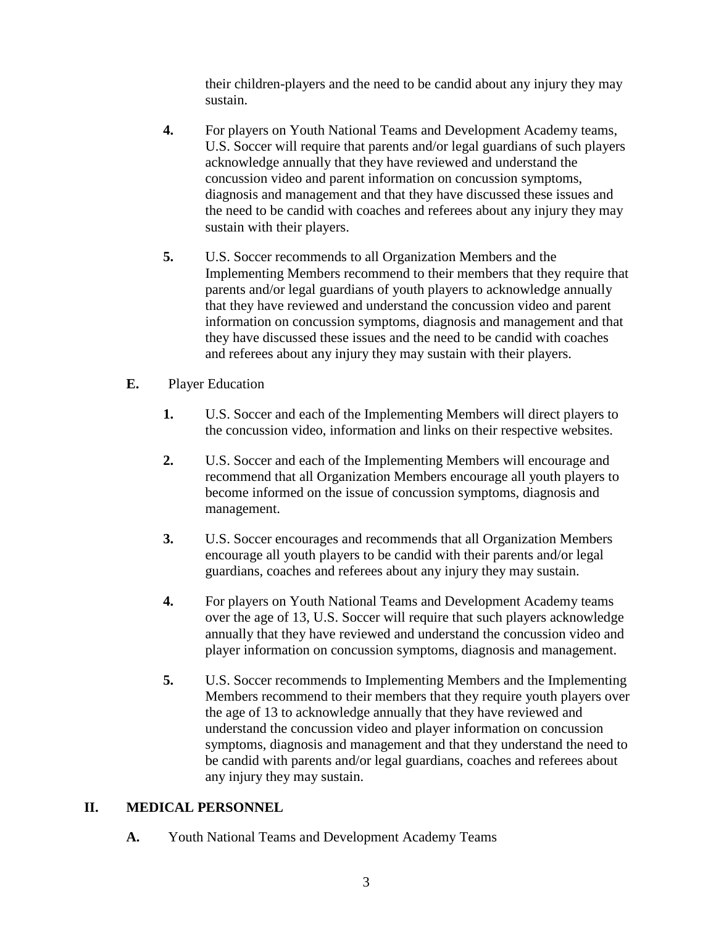their children-players and the need to be candid about any injury they may sustain.

- **4.** For players on Youth National Teams and Development Academy teams, U.S. Soccer will require that parents and/or legal guardians of such players acknowledge annually that they have reviewed and understand the concussion video and parent information on concussion symptoms, diagnosis and management and that they have discussed these issues and the need to be candid with coaches and referees about any injury they may sustain with their players.
- **5.** U.S. Soccer recommends to all Organization Members and the Implementing Members recommend to their members that they require that parents and/or legal guardians of youth players to acknowledge annually that they have reviewed and understand the concussion video and parent information on concussion symptoms, diagnosis and management and that they have discussed these issues and the need to be candid with coaches and referees about any injury they may sustain with their players.
- **E.** Player Education
	- **1.** U.S. Soccer and each of the Implementing Members will direct players to the concussion video, information and links on their respective websites.
	- **2.** U.S. Soccer and each of the Implementing Members will encourage and recommend that all Organization Members encourage all youth players to become informed on the issue of concussion symptoms, diagnosis and management.
	- **3.** U.S. Soccer encourages and recommends that all Organization Members encourage all youth players to be candid with their parents and/or legal guardians, coaches and referees about any injury they may sustain.
	- **4.** For players on Youth National Teams and Development Academy teams over the age of 13, U.S. Soccer will require that such players acknowledge annually that they have reviewed and understand the concussion video and player information on concussion symptoms, diagnosis and management.
	- **5.** U.S. Soccer recommends to Implementing Members and the Implementing Members recommend to their members that they require youth players over the age of 13 to acknowledge annually that they have reviewed and understand the concussion video and player information on concussion symptoms, diagnosis and management and that they understand the need to be candid with parents and/or legal guardians, coaches and referees about any injury they may sustain.

### **II. MEDICAL PERSONNEL**

**A.** Youth National Teams and Development Academy Teams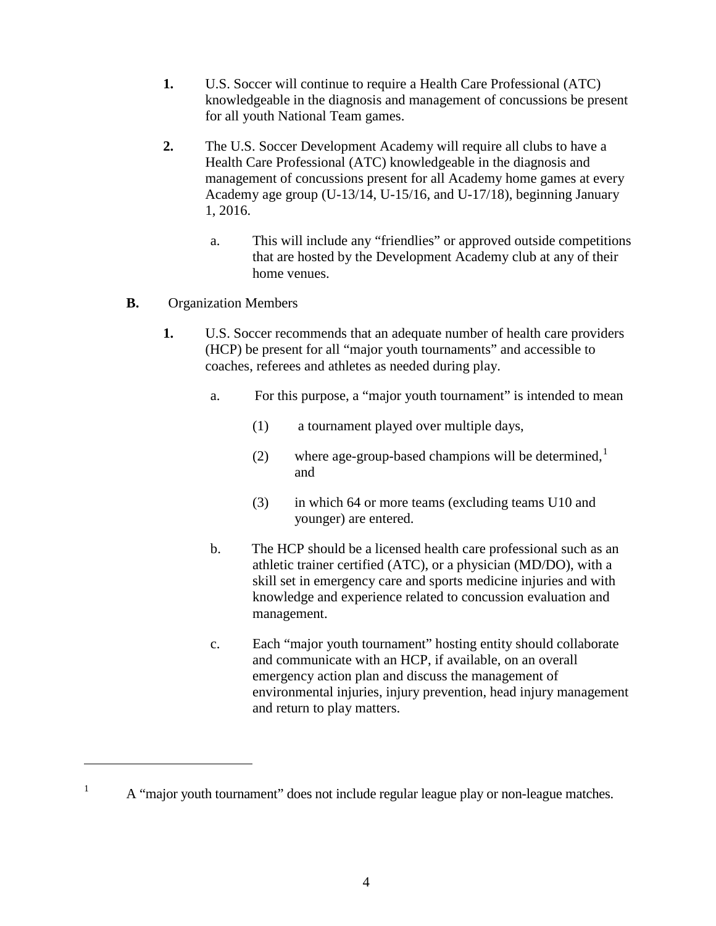- **1.** U.S. Soccer will continue to require a Health Care Professional (ATC) knowledgeable in the diagnosis and management of concussions be present for all youth National Team games.
- **2.** The U.S. Soccer Development Academy will require all clubs to have a Health Care Professional (ATC) knowledgeable in the diagnosis and management of concussions present for all Academy home games at every Academy age group (U-13/14, U-15/16, and U-17/18), beginning January 1, 2016.
	- a. This will include any "friendlies" or approved outside competitions that are hosted by the Development Academy club at any of their home venues.
- **B.** Organization Members

 $\overline{a}$ 

- **1.** U.S. Soccer recommends that an adequate number of health care providers (HCP) be present for all "major youth tournaments" and accessible to coaches, referees and athletes as needed during play.
	- a. For this purpose, a "major youth tournament" is intended to mean
		- (1) a tournament played over multiple days,
		- (2) where age-group-based champions will be determined, $<sup>1</sup>$  $<sup>1</sup>$  $<sup>1</sup>$ </sup> and
		- (3) in which 64 or more teams (excluding teams U10 and younger) are entered.
	- b. The HCP should be a licensed health care professional such as an athletic trainer certified (ATC), or a physician (MD/DO), with a skill set in emergency care and sports medicine injuries and with knowledge and experience related to concussion evaluation and management.
	- c. Each "major youth tournament" hosting entity should collaborate and communicate with an HCP, if available, on an overall emergency action plan and discuss the management of environmental injuries, injury prevention, head injury management and return to play matters.

<span id="page-3-0"></span><sup>&</sup>lt;sup>1</sup> A "major youth tournament" does not include regular league play or non-league matches.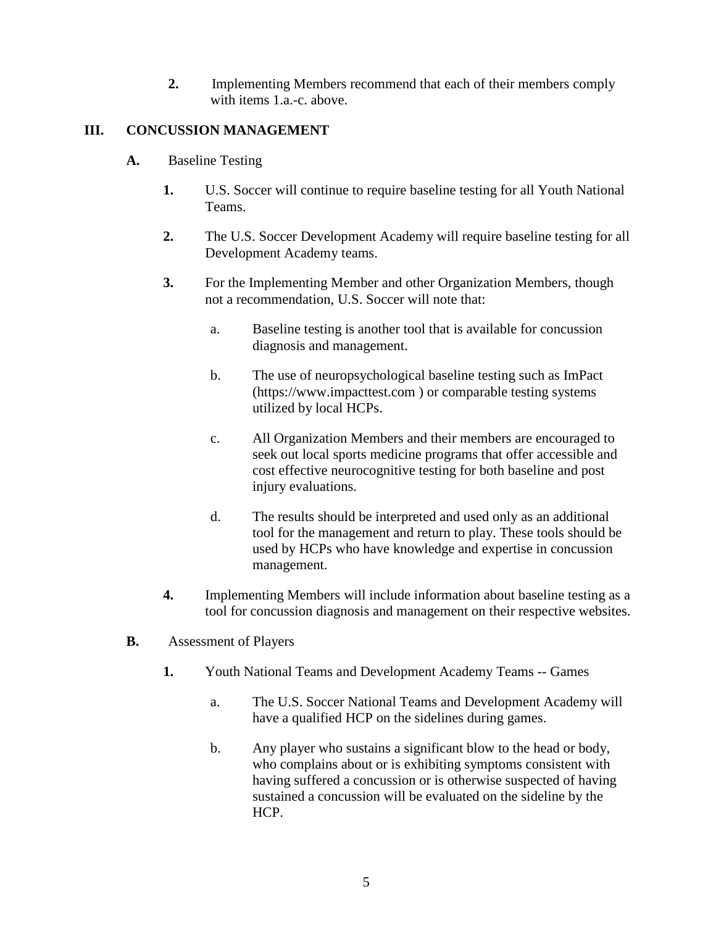**2.** Implementing Members recommend that each of their members comply with items 1.a.-c. above.

# **III. CONCUSSION MANAGEMENT**

- **A.** Baseline Testing
	- **1.** U.S. Soccer will continue to require baseline testing for all Youth National Teams.
	- **2.** The U.S. Soccer Development Academy will require baseline testing for all Development Academy teams.
	- **3.** For the Implementing Member and other Organization Members, though not a recommendation, U.S. Soccer will note that:
		- a. Baseline testing is another tool that is available for concussion diagnosis and management.
		- b. The use of neuropsychological baseline testing such as ImPact (https://www.impacttest.com ) or comparable testing systems utilized by local HCPs.
		- c. All Organization Members and their members are encouraged to seek out local sports medicine programs that offer accessible and cost effective neurocognitive testing for both baseline and post injury evaluations.
		- d. The results should be interpreted and used only as an additional tool for the management and return to play. These tools should be used by HCPs who have knowledge and expertise in concussion management.
	- **4.** Implementing Members will include information about baseline testing as a tool for concussion diagnosis and management on their respective websites.
- **B.** Assessment of Players
	- **1.** Youth National Teams and Development Academy Teams -- Games
		- a. The U.S. Soccer National Teams and Development Academy will have a qualified HCP on the sidelines during games.
		- b. Any player who sustains a significant blow to the head or body, who complains about or is exhibiting symptoms consistent with having suffered a concussion or is otherwise suspected of having sustained a concussion will be evaluated on the sideline by the HCP.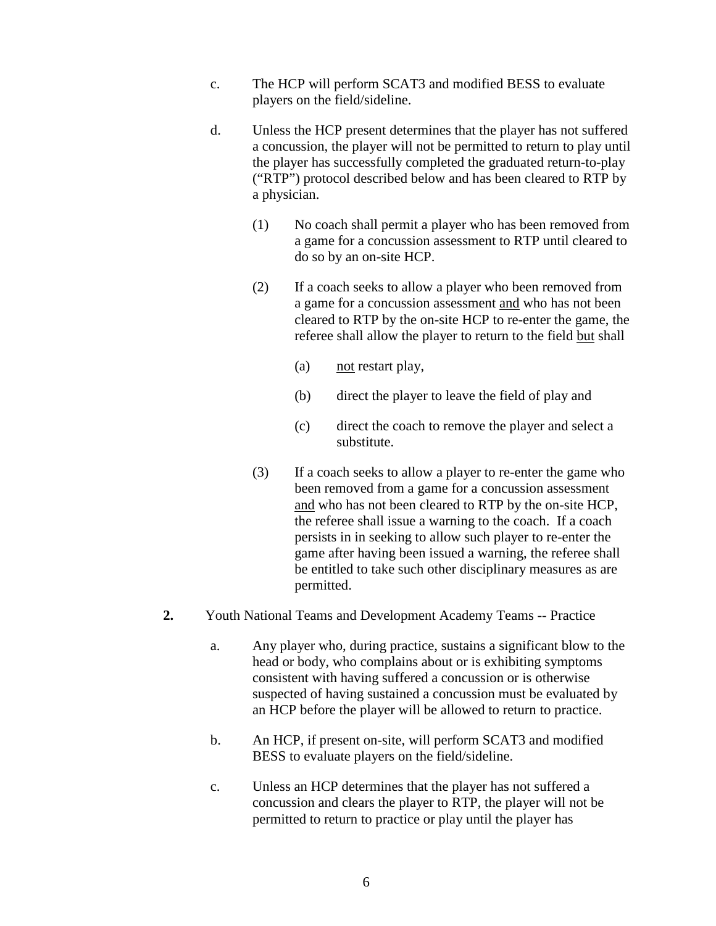- c. The HCP will perform SCAT3 and modified BESS to evaluate players on the field/sideline.
- d. Unless the HCP present determines that the player has not suffered a concussion, the player will not be permitted to return to play until the player has successfully completed the graduated return-to-play ("RTP") protocol described below and has been cleared to RTP by a physician.
	- (1) No coach shall permit a player who has been removed from a game for a concussion assessment to RTP until cleared to do so by an on-site HCP.
	- (2) If a coach seeks to allow a player who been removed from a game for a concussion assessment and who has not been cleared to RTP by the on-site HCP to re-enter the game, the referee shall allow the player to return to the field but shall
		- (a) not restart play,
		- (b) direct the player to leave the field of play and
		- (c) direct the coach to remove the player and select a substitute.
	- (3) If a coach seeks to allow a player to re-enter the game who been removed from a game for a concussion assessment and who has not been cleared to RTP by the on-site HCP, the referee shall issue a warning to the coach. If a coach persists in in seeking to allow such player to re-enter the game after having been issued a warning, the referee shall be entitled to take such other disciplinary measures as are permitted.
- **2.** Youth National Teams and Development Academy Teams -- Practice
	- a. Any player who, during practice, sustains a significant blow to the head or body, who complains about or is exhibiting symptoms consistent with having suffered a concussion or is otherwise suspected of having sustained a concussion must be evaluated by an HCP before the player will be allowed to return to practice.
	- b. An HCP, if present on-site, will perform SCAT3 and modified BESS to evaluate players on the field/sideline.
	- c. Unless an HCP determines that the player has not suffered a concussion and clears the player to RTP, the player will not be permitted to return to practice or play until the player has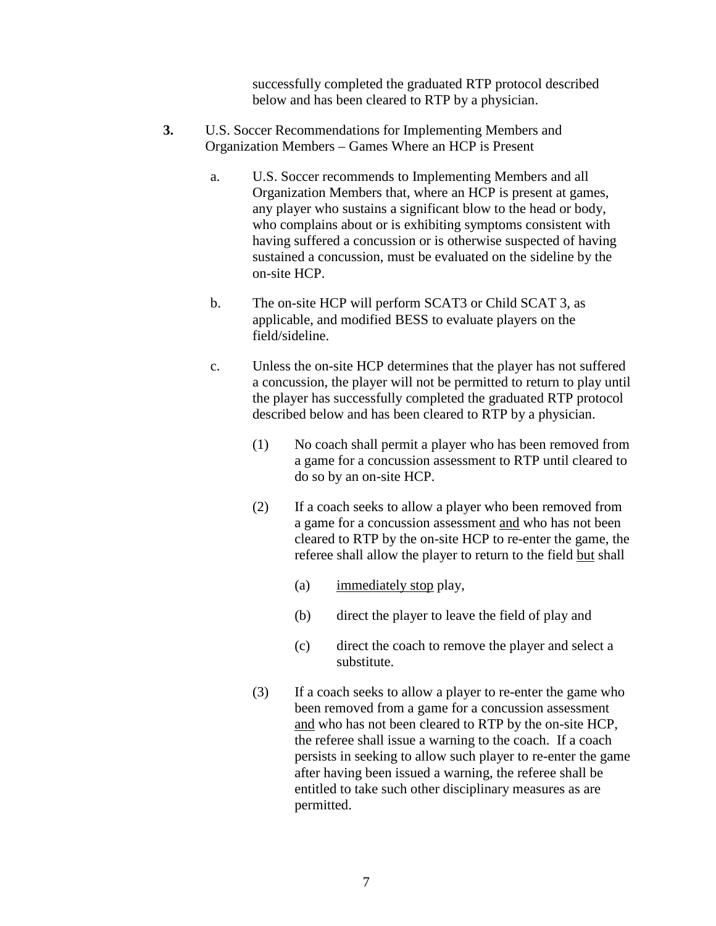successfully completed the graduated RTP protocol described below and has been cleared to RTP by a physician.

- **3.** U.S. Soccer Recommendations for Implementing Members and Organization Members – Games Where an HCP is Present
	- a. U.S. Soccer recommends to Implementing Members and all Organization Members that, where an HCP is present at games, any player who sustains a significant blow to the head or body, who complains about or is exhibiting symptoms consistent with having suffered a concussion or is otherwise suspected of having sustained a concussion, must be evaluated on the sideline by the on-site HCP.
	- b. The on-site HCP will perform SCAT3 or Child SCAT 3, as applicable, and modified BESS to evaluate players on the field/sideline.
	- c. Unless the on-site HCP determines that the player has not suffered a concussion, the player will not be permitted to return to play until the player has successfully completed the graduated RTP protocol described below and has been cleared to RTP by a physician.
		- (1) No coach shall permit a player who has been removed from a game for a concussion assessment to RTP until cleared to do so by an on-site HCP.
		- (2) If a coach seeks to allow a player who been removed from a game for a concussion assessment and who has not been cleared to RTP by the on-site HCP to re-enter the game, the referee shall allow the player to return to the field but shall
			- (a) immediately stop play,
			- (b) direct the player to leave the field of play and
			- (c) direct the coach to remove the player and select a substitute.
		- (3) If a coach seeks to allow a player to re-enter the game who been removed from a game for a concussion assessment and who has not been cleared to RTP by the on-site HCP, the referee shall issue a warning to the coach. If a coach persists in seeking to allow such player to re-enter the game after having been issued a warning, the referee shall be entitled to take such other disciplinary measures as are permitted.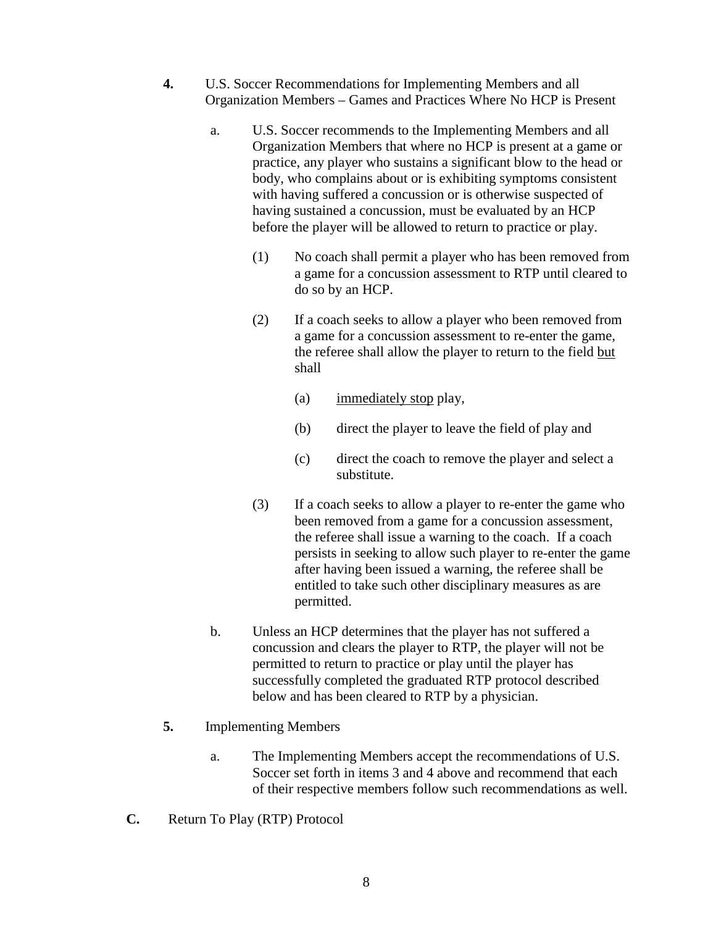- **4.** U.S. Soccer Recommendations for Implementing Members and all Organization Members – Games and Practices Where No HCP is Present
	- a. U.S. Soccer recommends to the Implementing Members and all Organization Members that where no HCP is present at a game or practice, any player who sustains a significant blow to the head or body, who complains about or is exhibiting symptoms consistent with having suffered a concussion or is otherwise suspected of having sustained a concussion, must be evaluated by an HCP before the player will be allowed to return to practice or play.
		- (1) No coach shall permit a player who has been removed from a game for a concussion assessment to RTP until cleared to do so by an HCP.
		- (2) If a coach seeks to allow a player who been removed from a game for a concussion assessment to re-enter the game, the referee shall allow the player to return to the field but shall
			- (a) immediately stop play,
			- (b) direct the player to leave the field of play and
			- (c) direct the coach to remove the player and select a substitute.
		- (3) If a coach seeks to allow a player to re-enter the game who been removed from a game for a concussion assessment, the referee shall issue a warning to the coach. If a coach persists in seeking to allow such player to re-enter the game after having been issued a warning, the referee shall be entitled to take such other disciplinary measures as are permitted.
	- b. Unless an HCP determines that the player has not suffered a concussion and clears the player to RTP, the player will not be permitted to return to practice or play until the player has successfully completed the graduated RTP protocol described below and has been cleared to RTP by a physician.
- **5.** Implementing Members
	- a. The Implementing Members accept the recommendations of U.S. Soccer set forth in items 3 and 4 above and recommend that each of their respective members follow such recommendations as well.
- **C.** Return To Play (RTP) Protocol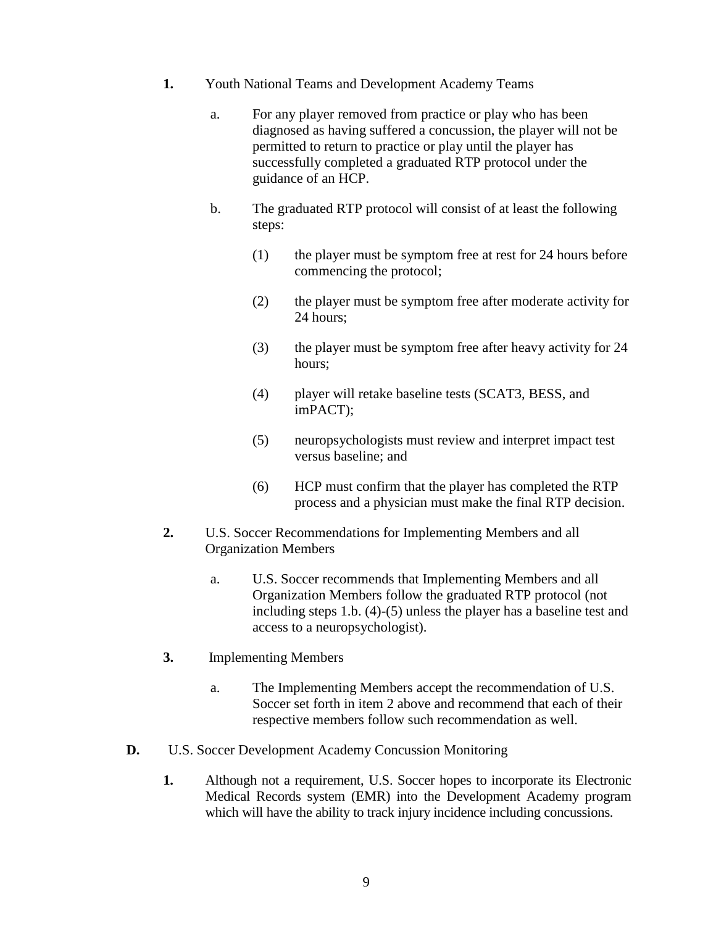- **1.** Youth National Teams and Development Academy Teams
	- a. For any player removed from practice or play who has been diagnosed as having suffered a concussion, the player will not be permitted to return to practice or play until the player has successfully completed a graduated RTP protocol under the guidance of an HCP.
	- b. The graduated RTP protocol will consist of at least the following steps:
		- (1) the player must be symptom free at rest for 24 hours before commencing the protocol;
		- (2) the player must be symptom free after moderate activity for 24 hours;
		- (3) the player must be symptom free after heavy activity for 24 hours;
		- (4) player will retake baseline tests (SCAT3, BESS, and imPACT);
		- (5) neuropsychologists must review and interpret impact test versus baseline; and
		- (6) HCP must confirm that the player has completed the RTP process and a physician must make the final RTP decision.
- **2.** U.S. Soccer Recommendations for Implementing Members and all Organization Members
	- a. U.S. Soccer recommends that Implementing Members and all Organization Members follow the graduated RTP protocol (not including steps 1.b. (4)-(5) unless the player has a baseline test and access to a neuropsychologist).
- **3.** Implementing Members
	- a. The Implementing Members accept the recommendation of U.S. Soccer set forth in item 2 above and recommend that each of their respective members follow such recommendation as well.
- **D.** U.S. Soccer Development Academy Concussion Monitoring
	- **1.** Although not a requirement, U.S. Soccer hopes to incorporate its Electronic Medical Records system (EMR) into the Development Academy program which will have the ability to track injury incidence including concussions.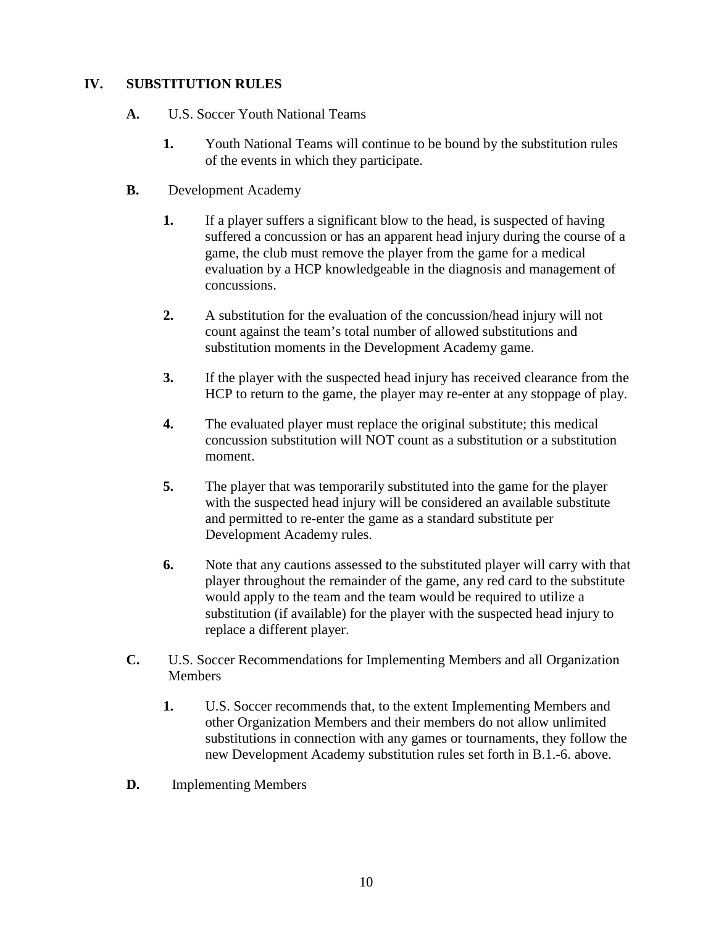### **IV. SUBSTITUTION RULES**

- **A.** U.S. Soccer Youth National Teams
	- **1.** Youth National Teams will continue to be bound by the substitution rules of the events in which they participate.
- **B.** Development Academy
	- **1.** If a player suffers a significant blow to the head, is suspected of having suffered a concussion or has an apparent head injury during the course of a game, the club must remove the player from the game for a medical evaluation by a HCP knowledgeable in the diagnosis and management of concussions.
	- **2.** A substitution for the evaluation of the concussion/head injury will not count against the team's total number of allowed substitutions and substitution moments in the Development Academy game.
	- **3.** If the player with the suspected head injury has received clearance from the HCP to return to the game, the player may re-enter at any stoppage of play.
	- **4.** The evaluated player must replace the original substitute; this medical concussion substitution will NOT count as a substitution or a substitution moment.
	- **5.** The player that was temporarily substituted into the game for the player with the suspected head injury will be considered an available substitute and permitted to re-enter the game as a standard substitute per Development Academy rules.
	- **6.** Note that any cautions assessed to the substituted player will carry with that player throughout the remainder of the game, any red card to the substitute would apply to the team and the team would be required to utilize a substitution (if available) for the player with the suspected head injury to replace a different player.
- **C.** U.S. Soccer Recommendations for Implementing Members and all Organization Members
	- **1.** U.S. Soccer recommends that, to the extent Implementing Members and other Organization Members and their members do not allow unlimited substitutions in connection with any games or tournaments, they follow the new Development Academy substitution rules set forth in B.1.-6. above.
- **D.** Implementing Members